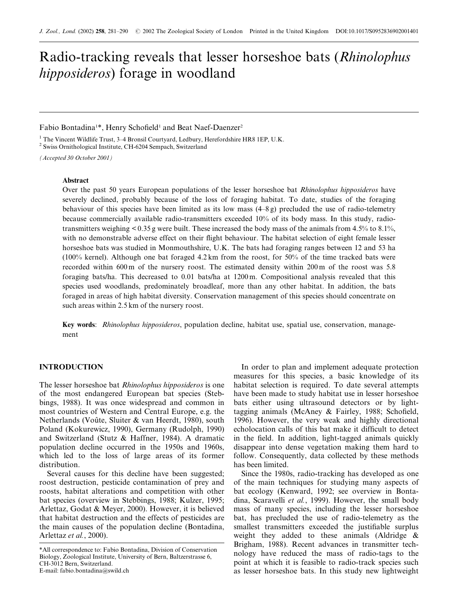# Radio-tracking reveals that lesser horseshoe bats (Rhinolophus hipposideros) forage in woodland

## Fabio Bontadina<sup>1\*</sup>, Henry Schofield<sup>1</sup> and Beat Naef-Daenzer<sup>2</sup>

 $1$  The Vincent Wildlife Trust, 3-4 Bronsil Courtyard, Ledbury, Herefordshire HR8 1EP, U.K.

<sup>2</sup> Swiss Ornithological Institute, CH-6204 Sempach, Switzerland

(Accepted 30 October 2001)

## Abstract

Over the past 50 years European populations of the lesser horseshoe bat *Rhinolophus hipposideros* have severely declined, probably because of the loss of foraging habitat. To date, studies of the foraging behaviour of this species have been limited as its low mass  $(4-8g)$  precluded the use of radio-telemetry because commercially available radio-transmitters exceeded 10% of its body mass. In this study, radiotransmitters weighing < 0.35 g were built. These increased the body mass of the animals from 4.5% to 8.1%, with no demonstrable adverse effect on their flight behaviour. The habitat selection of eight female lesser horseshoe bats was studied in Monmouthshire, U.K. The bats had foraging ranges between 12 and 53 ha (100% kernel). Although one bat foraged 4.2 km from the roost, for 50% of the time tracked bats were recorded within 600 m of the nursery roost. The estimated density within 200 m of the roost was 5.8 foraging bats/ha. This decreased to 0.01 bats/ha at 1200 m. Compositional analysis revealed that this species used woodlands, predominately broadleaf, more than any other habitat. In addition, the bats foraged in areas of high habitat diversity. Conservation management of this species should concentrate on such areas within 2.5 km of the nursery roost.

Key words: Rhinolophus hipposideros, population decline, habitat use, spatial use, conservation, management

# **INTRODUCTION**

The lesser horseshoe bat Rhinolophus hipposideros is one of the most endangered European bat species (Stebbings, 1988). It was once widespread and common in most countries of Western and Central Europe, e.g. the Netherlands (Voûte, Sluiter & van Heerdt, 1980), south Poland (Kokurewicz, 1990), Germany (Rudolph, 1990) and Switzerland (Stutz & Haffner, 1984). A dramatic population decline occurred in the 1950s and 1960s, which led to the loss of large areas of its former distribution.

Several causes for this decline have been suggested; roost destruction, pesticide contamination of prey and roosts, habitat alterations and competition with other bat species (overview in Stebbings, 1988; Kulzer, 1995; Arlettaz, Godat & Meyer, 2000). However, it is believed that habitat destruction and the effects of pesticides are the main causes of the population decline (Bontadina, Arlettaz et al., 2000).

E-mail: fabio.bontadina@swild.ch

In order to plan and implement adequate protection measures for this species, a basic knowledge of its habitat selection is required. To date several attempts have been made to study habitat use in lesser horseshoe bats either using ultrasound detectors or by lighttagging animals (McAney & Fairley, 1988; Schofield, 1996). However, the very weak and highly directional echolocation calls of this bat make it difficult to detect in the field. In addition, light-tagged animals quickly disappear into dense vegetation making them hard to follow. Consequently, data collected by these methods has been limited.

Since the 1980s, radio-tracking has developed as one of the main techniques for studying many aspects of bat ecology (Kenward, 1992; see overview in Bontadina, Scaravelli et al., 1999). However, the small body mass of many species, including the lesser horseshoe bat, has precluded the use of radio-telemetry as the smallest transmitters exceeded the justifiable surplus weight they added to these animals (Aldridge & Brigham, 1988). Recent advances in transmitter technology have reduced the mass of radio-tags to the point at which it is feasible to radio-track species such as lesser horseshoe bats. In this study new lightweight

<sup>\*</sup>All correspondence to: Fabio Bontadina, Division of Conservation Biology, Zoological Institute, University of Bern, Baltzerstrasse 6, CH-3012 Bern, Switzerland.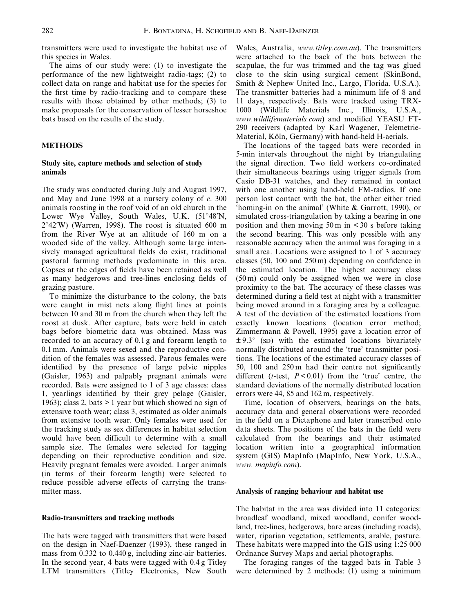transmitters were used to investigate the habitat use of this species in Wales.

The aims of our study were: (1) to investigate the performance of the new lightweight radio-tags; (2) to collect data on range and habitat use for the species for the first time by radio-tracking and to compare these results with those obtained by other methods; (3) to make proposals for the conservation of lesser horseshoe bats based on the results of the study.

## METHODS

## Study site, capture methods and selection of study animals

The study was conducted during July and August 1997, and May and June 1998 at a nursery colony of c. 300 animals roosting in the roof void of an old church in the Lower Wye Valley, South Wales, U.K. (51°48'N,  $2^{\circ}42'W$ ) (Warren, 1998). The roost is situated 600 m from the River Wye at an altitude of 160 m on a wooded side of the valley. Although some large intensively managed agricultural fields do exist, traditional pastoral farming methods predominate in this area. Copses at the edges of fields have been retained as well as many hedgerows and tree-lines enclosing fields of grazing pasture.

To minimize the disturbance to the colony, the bats were caught in mist nets along flight lines at points between 10 and 30 m from the church when they left the roost at dusk. After capture, bats were held in catch bags before biometric data was obtained. Mass was recorded to an accuracy of 0.1 g and forearm length to 0.1 mm. Animals were sexed and the reproductive condition of the females was assessed. Parous females were identified by the presence of large pelvic nipples (Gaisler, 1963) and palpably pregnant animals were recorded. Bats were assigned to 1 of 3 age classes: class 1, yearlings identified by their grey pelage (Gaisler, 1963); class 2, bats > 1 year but which showed no sign of extensive tooth wear; class 3, estimated as older animals from extensive tooth wear. Only females were used for the tracking study as sex differences in habitat selection would have been difficult to determine with a small sample size. The females were selected for tagging depending on their reproductive condition and size. Heavily pregnant females were avoided. Larger animals (in terms of their forearm length) were selected to reduce possible adverse effects of carrying the transmitter mass.

## Radio-transmitters and tracking methods

The bats were tagged with transmitters that were based on the design in Naef-Daenzer (1993), these ranged in mass from 0.332 to 0.440 g, including zinc-air batteries. In the second year, 4 bats were tagged with 0.4 g Titley LTM transmitters (Titley Electronics, New South Wales, Australia, www.titley.com.au). The transmitters were attached to the back of the bats between the scapulae, the fur was trimmed and the tag was glued close to the skin using surgical cement (SkinBond, Smith & Nephew United Inc., Largo, Florida, U.S.A.). The transmitter batteries had a minimum life of 8 and 11 days, respectively. Bats were tracked using TRX-1000 (Wildlife Materials Inc., Illinois, U.S.A., www.wildlifematerials.com) and modified YEASU FT-290 receivers (adapted by Karl Wagener, Telemetrie-Material, Köln, Germany) with hand-held H-aerials.

The locations of the tagged bats were recorded in 5-min intervals throughout the night by triangulating the signal direction. Two field workers co-ordinated their simultaneous bearings using trigger signals from Casio DB-31 watches, and they remained in contact with one another using hand-held FM-radios. If one person lost contact with the bat, the other either tried `homing-in on the animal' (White & Garrott, 1990), or simulated cross-triangulation by taking a bearing in one position and then moving  $50 \text{ m}$  in  $\lt 30 \text{ s}$  before taking the second bearing. This was only possible with any reasonable accuracy when the animal was foraging in a small area. Locations were assigned to 1 of 3 accuracy classes  $(50, 100 \text{ and } 250 \text{ m})$  depending on confidence in the estimated location. The highest accuracy class (50 m) could only be assigned when we were in close proximity to the bat. The accuracy of these classes was determined during a field test at night with a transmitter being moved around in a foraging area by a colleague. A test of the deviation of the estimated locations from exactly known locations (location error method; Zimmermann & Powell, 1995) gave a location error of  $\pm$  9.3° (sp) with the estimated locations bivariately normally distributed around the 'true' transmitter positions. The locations of the estimated accuracy classes of 50, 100 and  $250 \text{ m}$  had their centre not significantly different (*t*-test,  $P < 0.01$ ) from the 'true' centre, the standard deviations of the normally distributed location errors were 44, 85 and 162 m, respectively.

Time, location of observers, bearings on the bats, accuracy data and general observations were recorded in the field on a Dictaphone and later transcribed onto data sheets. The positions of the bats in the field were calculated from the bearings and their estimated location written into a geographical information system (GIS) MapInfo (MapInfo, New York, U.S.A., www. mapinfo.com).

#### Analysis of ranging behaviour and habitat use

The habitat in the area was divided into 11 categories: broadleaf woodland, mixed woodland, conifer woodland, tree-lines, hedgerows, bare areas (including roads), water, riparian vegetation, settlements, arable, pasture. These habitats were mapped into the GIS using 1:25 000 Ordnance Survey Maps and aerial photographs.

The foraging ranges of the tagged bats in Table 3 were determined by 2 methods: (1) using a minimum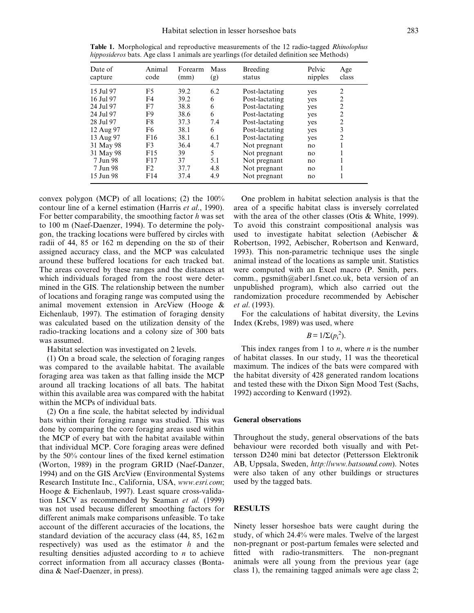| Date of<br>capture | Animal<br>code | Forearm<br>(mm) | Mass<br>(g) | Breeding<br>status | Pelvic<br>nipples | Age<br>class   |
|--------------------|----------------|-----------------|-------------|--------------------|-------------------|----------------|
| 15 Jul 97          | F5             | 39.2            | 6.2         | Post-lactating     | yes               | 2              |
| 16 Jul 97          | F4             | 39.2            | 6           | Post-lactating     | yes               | $\overline{2}$ |
| 24 Jul 97          | F7             | 38.8            | 6           | Post-lactating     | yes               | 2              |
| 24 Jul 97          | F9             | 38.6            | 6           | Post-lactating     | yes               | $\overline{c}$ |
| 28 Jul 97          | F8             | 37.3            | 7.4         | Post-lactating     | yes               | $\overline{c}$ |
| 12 Aug 97          | F <sub>6</sub> | 38.1            | 6           | Post-lactating     | yes               | 3              |
| 13 Aug 97          | F16            | 38.1            | 6.1         | Post-lactating     | yes               | $\overline{2}$ |
| 31 May 98          | F3             | 36.4            | 4.7         | Not pregnant       | no                |                |
| 31 May 98          | F15            | 39              | 5           | Not pregnant       | no                |                |
| 7 Jun 98           | F17            | 37              | 5.1         | Not pregnant       | no                |                |
| 7 Jun 98           | F2             | 37.7            | 4.8         | Not pregnant       | no                |                |
| 15 Jun 98          | F14            | 37.4            | 4.9         | Not pregnant       | no                |                |

Table 1. Morphological and reproductive measurements of the 12 radio-tagged Rhinolophus hipposideros bats. Age class 1 animals are yearlings (for detailed definition see Methods)

convex polygon (MCP) of all locations; (2) the 100% contour line of a kernel estimation (Harris et al., 1990). For better comparability, the smoothing factor  $h$  was set to 100 m (Naef-Daenzer, 1994). To determine the polygon, the tracking locations were buffered by circles with radii of 44, 85 or 162 m depending on the sp of their assigned accuracy class, and the MCP was calculated around these buffered locations for each tracked bat. The areas covered by these ranges and the distances at which individuals foraged from the roost were determined in the GIS. The relationship between the number of locations and foraging range was computed using the animal movement extension in ArcView (Hooge & Eichenlaub, 1997). The estimation of foraging density was calculated based on the utilization density of the radio-tracking locations and a colony size of 300 bats was assumed.

Habitat selection was investigated on 2 levels.

(1) On a broad scale, the selection of foraging ranges was compared to the available habitat. The available foraging area was taken as that falling inside the MCP around all tracking locations of all bats. The habitat within this available area was compared with the habitat within the MCPs of individual bats.

 $(2)$  On a fine scale, the habitat selected by individual bats within their foraging range was studied. This was done by comparing the core foraging areas used within the MCP of every bat with the habitat available within that individual MCP. Core foraging areas were defined by the  $50\%$  contour lines of the fixed kernel estimation (Worton, 1989) in the program GRID (Naef-Danzer, 1994) and on the GIS ArcView (Environmental Systems Research Institute Inc., California, USA, www.esri.com; Hooge & Eichenlaub, 1997). Least square cross-validation LSCV as recommended by Seaman et al. (1999) was not used because different smoothing factors for different animals make comparisons unfeasible. To take account of the different accuracies of the locations, the standard deviation of the accuracy class (44, 85, 162 m respectively) was used as the estimator  $h$  and the resulting densities adjusted according to n to achieve correct information from all accuracy classes (Bontadina & Naef-Daenzer, in press).

One problem in habitat selection analysis is that the area of a specific habitat class is inversely correlated with the area of the other classes (Otis & White, 1999). To avoid this constraint compositional analysis was used to investigate habitat selection (Aebischer & Robertson, 1992, Aebischer, Robertson and Kenward, 1993). This non-parametric technique uses the single animal instead of the locations as sample unit. Statistics were computed with an Excel macro (P. Smith, pers. comm., pgsmith@aber1.fsnet.co.uk, beta version of an unpublished program), which also carried out the randomization procedure recommended by Aebischer et al. (1993).

For the calculations of habitat diversity, the Levins Index (Krebs, 1989) was used, where

 $B = 1/\Sigma(p_i^2)$ .

This index ranges from 1 to  $n$ , where  $n$  is the number of habitat classes. In our study, 11 was the theoretical maximum. The indices of the bats were compared with the habitat diversity of 428 generated random locations and tested these with the Dixon Sign Mood Test (Sachs, 1992) according to Kenward (1992).

## General observations

Throughout the study, general observations of the bats behaviour were recorded both visually and with Pettersson D240 mini bat detector (Pettersson Elektronik AB, Uppsala, Sweden, http://www.batsound.com). Notes were also taken of any other buildings or structures used by the tagged bats.

#### RESULTS

Ninety lesser horseshoe bats were caught during the study, of which 24.4% were males. Twelve of the largest non-pregnant or post-partum females were selected and fitted with radio-transmitters. The non-pregnant animals were all young from the previous year (age class 1), the remaining tagged animals were age class 2;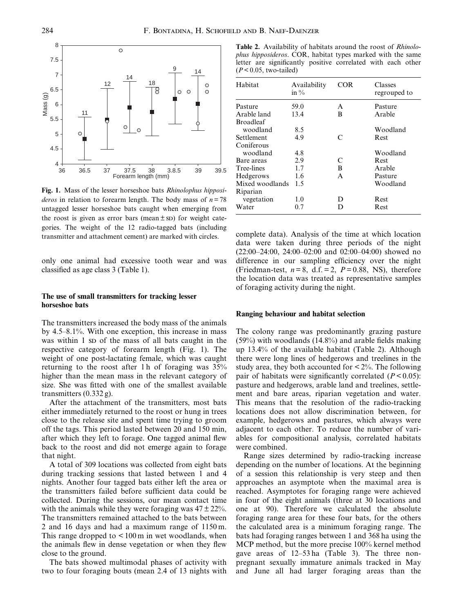

Fig. 1. Mass of the lesser horseshoe bats Rhinolophus hipposi*deros* in relation to forearm length. The body mass of  $n = 78$ untagged lesser horseshoe bats caught when emerging from the roost is given as error bars (mean  $\pm$  sp) for weight categories. The weight of the 12 radio-tagged bats (including transmitter and attachment cement) are marked with circles.

only one animal had excessive tooth wear and was classified as age class 3 (Table 1).

# The use of small transmitters for tracking lesser horseshoe bats

The transmitters increased the body mass of the animals by  $4.5-8.1\%$ . With one exception, this increase in mass was within 1 sp of the mass of all bats caught in the respective category of forearm length (Fig. 1). The weight of one post-lactating female, which was caught returning to the roost after 1 h of foraging was 35% higher than the mean mass in the relevant category of size. She was fitted with one of the smallest available transmitters (0.332 g).

After the attachment of the transmitters, most bats either immediately returned to the roost or hung in trees close to the release site and spent time trying to groom off the tags. This period lasted between 20 and 150 min, after which they left to forage. One tagged animal flew back to the roost and did not emerge again to forage that night.

A total of 309 locations was collected from eight bats during tracking sessions that lasted between 1 and 4 nights. Another four tagged bats either left the area or the transmitters failed before sufficient data could be collected. During the sessions, our mean contact time with the animals while they were foraging was  $47 \pm 22\%$ . The transmitters remained attached to the bats between 2 and 16 days and had a maximum range of 1150 m. This range dropped to  $\leq 100 \,\mathrm{m}$  in wet woodlands, when the animals flew in dense vegetation or when they flew close to the ground.

The bats showed multimodal phases of activity with two to four foraging bouts (mean 2.4 of 13 nights with

Table 2. Availability of habitats around the roost of Rhinolophus hipposideros. COR, habitat types marked with the same letter are significantly positive correlated with each other  $(P < 0.05$ , two-tailed)

| Habitat          | Availability<br>in % | COR       | Classes<br>regrouped to |
|------------------|----------------------|-----------|-------------------------|
| Pasture          | 59.0                 | A         | Pasture                 |
| Arable land      | 13.4                 | B         | Arable                  |
| <b>Broadleaf</b> |                      |           |                         |
| woodland         | 8.5                  |           | Woodland                |
| Settlement       | 4.9                  | $\subset$ | <b>Rest</b>             |
| Coniferous       |                      |           |                         |
| woodland         | 4.8                  |           | Woodland                |
| Bare areas       | 2.9                  | C         | <b>Rest</b>             |
| Tree-lines       | 1.7                  | B         | Arable                  |
| Hedgerows        | 1.6                  | A         | Pasture                 |
| Mixed woodlands  | 1.5                  |           | Woodland                |
| Riparian         |                      |           |                         |
| vegetation       | 1.0                  | D         | <b>Rest</b>             |
| Water            | 0.7                  | D         | Rest                    |

complete data). Analysis of the time at which location data were taken during three periods of the night  $(22:00-24:00, 24:00-02:00$  and  $02:00-04:00)$  showed no difference in our sampling efficiency over the night (Friedman-test,  $n=8$ , d.f. = 2,  $P=0.88$ , NS), therefore the location data was treated as representative samples of foraging activity during the night.

## Ranging behaviour and habitat selection

The colony range was predominantly grazing pasture  $(59\%)$  with woodlands  $(14.8\%)$  and arable fields making up 13.4% of the available habitat (Table 2). Although there were long lines of hedgerows and treelines in the study area, they both accounted for  $\lt 2\%$ . The following pair of habitats were significantly correlated  $(P < 0.05)$ : pasture and hedgerows, arable land and treelines, settlement and bare areas, riparian vegetation and water. This means that the resolution of the radio-tracking locations does not allow discrimination between, for example, hedgerows and pastures, which always were adjacent to each other. To reduce the number of variables for compositional analysis, correlated habitats were combined.

Range sizes determined by radio-tracking increase depending on the number of locations. At the beginning of a session this relationship is very steep and then approaches an asymptote when the maximal area is reached. Asymptotes for foraging range were achieved in four of the eight animals (three at 30 locations and one at 90). Therefore we calculated the absolute foraging range area for these four bats, for the others the calculated area is a minimum foraging range. The bats had foraging ranges between 1 and 368 ha using the MCP method, but the more precise 100% kernel method gave areas of  $12-53$  ha (Table 3). The three nonpregnant sexually immature animals tracked in May and June all had larger foraging areas than the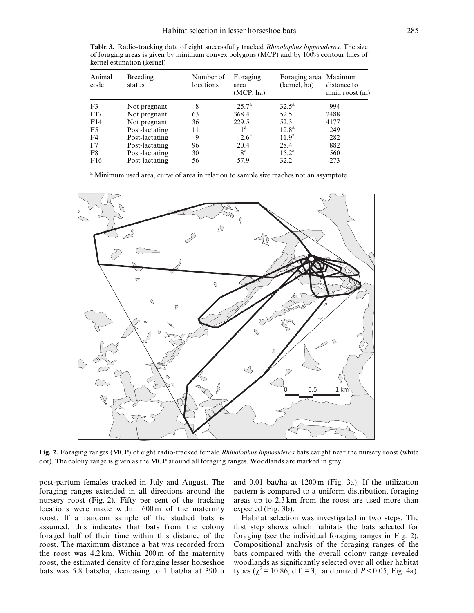Table 3. Radio-tracking data of eight successfully tracked *Rhinolophus hipposideros*. The size of foraging areas is given by minimum convex polygons (MCP) and by 100% contour lines of kernel estimation (kernel)

| Animal<br>code  | Breeding<br>status | Number of<br>locations | Foraging<br>area<br>(MCP, ha) | Foraging area Maximum<br>(kernel, ha) | distance to<br>$main$ roost $(m)$ |
|-----------------|--------------------|------------------------|-------------------------------|---------------------------------------|-----------------------------------|
| F <sub>3</sub>  | Not pregnant       | 8                      | $25.7^{\rm a}$                | $32.5^{\rm a}$                        | 994                               |
| F17             | Not pregnant       | 63                     | 368.4                         | 52.5                                  | 2488                              |
| F14             | Not pregnant       | 36                     | 229.5                         | 52.3                                  | 4177                              |
| F5              | Post-lactating     | 11                     | 1 <sup>a</sup>                | $12.8^{\rm a}$                        | 249                               |
| F4              | Post-lactating     | 9                      | 2.6 <sup>a</sup>              | 11.9 <sup>a</sup>                     | 282                               |
| F7              | Post-lactating     | 96                     | 20.4                          | 28.4                                  | 882                               |
| F8              | Post-lactating     | 30                     | 8 <sup>a</sup>                | $15.2^{\rm a}$                        | 560                               |
| F <sub>16</sub> | Post-lactating     | 56                     | 57.9                          | 32.2                                  | 273                               |

<sup>a</sup> Minimum used area, curve of area in relation to sample size reaches not an asymptote.



Fig. 2. Foraging ranges (MCP) of eight radio-tracked female Rhinolophus hipposideros bats caught near the nursery roost (white dot). The colony range is given as the MCP around all foraging ranges. Woodlands are marked in grey.

post-partum females tracked in July and August. The foraging ranges extended in all directions around the nursery roost (Fig. 2). Fifty per cent of the tracking locations were made within 600 m of the maternity roost. If a random sample of the studied bats is assumed, this indicates that bats from the colony foraged half of their time within this distance of the roost. The maximum distance a bat was recorded from the roost was 4.2 km. Within 200 m of the maternity roost, the estimated density of foraging lesser horseshoe bats was 5.8 bats/ha, decreasing to 1 bat/ha at 390 m

and 0.01 bat/ha at 1200 m (Fig. 3a). If the utilization pattern is compared to a uniform distribution, foraging areas up to 2.3 km from the roost are used more than expected (Fig. 3b).

Habitat selection was investigated in two steps. The first step shows which habitats the bats selected for foraging (see the individual foraging ranges in Fig. 2). Compositional analysis of the foraging ranges of the bats compared with the overall colony range revealed woodlands as significantly selected over all other habitat types ( $\chi^2$  = 10.86, d.f. = 3, randomized *P* < 0.05; Fig. 4a).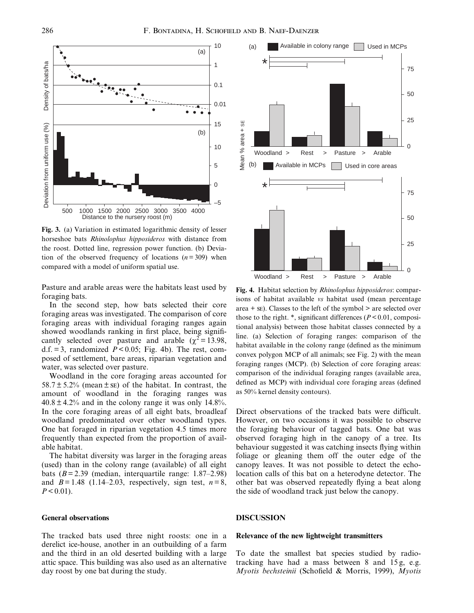

Fig. 3. (a) Variation in estimated logarithmic density of lesser horseshoe bats Rhinolophus hipposideros with distance from the roost. Dotted line, regression power function. (b) Deviation of the observed frequency of locations  $(n=309)$  when compared with a model of uniform spatial use.

Pasture and arable areas were the habitats least used by foraging bats.

In the second step, how bats selected their core foraging areas was investigated. The comparison of core foraging areas with individual foraging ranges again showed woodlands ranking in first place, being significantly selected over pasture and arable ( $\chi^2$  = 13.98, d.f. = 3, randomized  $P < 0.05$ ; Fig. 4b). The rest, composed of settlement, bare areas, riparian vegetation and water, was selected over pasture.

Woodland in the core foraging areas accounted for  $58.7 \pm 5.2\%$  (mean  $\pm$  se) of the habitat. In contrast, the amount of woodland in the foraging ranges was  $40.8 \pm 4.2\%$  and in the colony range it was only 14.8%. In the core foraging areas of all eight bats, broadleaf woodland predominated over other woodland types. One bat foraged in riparian vegetation 4.5 times more frequently than expected from the proportion of available habitat.

The habitat diversity was larger in the foraging areas (used) than in the colony range (available) of all eight bats  $(B = 2.39$  (median, interquartile range: 1.87–2.98) and  $B = 1.48$  (1.14–2.03, respectively, sign test,  $n = 8$ ,  $P < 0.01$ ).

# General observations

The tracked bats used three night roosts: one in a derelict ice-house, another in an outbuilding of a farm and the third in an old deserted building with a large attic space. This building was also used as an alternative day roost by one bat during the study.



Fig. 4. Habitat selection by Rhinolophus hipposideros: comparisons of habitat available vs habitat used (mean percentage area  $+$  se). Classes to the left of the symbol  $>$  are selected over those to the right. \*, significant differences ( $P < 0.01$ , compositional analysis) between those habitat classes connected by a line. (a) Selection of foraging ranges: comparison of the habitat available in the colony range (defined as the minimum convex polygon MCP of all animals; see Fig. 2) with the mean foraging ranges (MCP). (b) Selection of core foraging areas: comparison of the individual foraging ranges (available area, defined as MCP) with individual core foraging areas (defined as 50% kernel density contours).

Direct observations of the tracked bats were difficult. However, on two occasions it was possible to observe the foraging behaviour of tagged bats. One bat was observed foraging high in the canopy of a tree. Its behaviour suggested it was catching insects flying within foliage or gleaning them off the outer edge of the canopy leaves. It was not possible to detect the echolocation calls of this bat on a heterodyne detector. The other bat was observed repeatedly flying a beat along the side of woodland track just below the canopy.

## DISCUSSION

## Relevance of the new lightweight transmitters

To date the smallest bat species studied by radiotracking have had a mass between 8 and 15 g, e.g. Myotis bechsteinii (Schofield & Morris, 1999), Myotis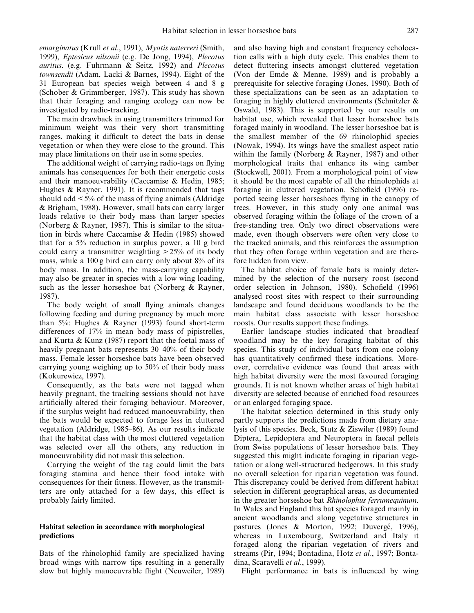emarginatus (Krull et al., 1991), Myotis naterreri (Smith, 1999), Eptesicus nilsonii (e.g. De Jong, 1994), Plecotus auritus. (e.g. Fuhrmann & Seitz, 1992) and Plecotus townsendii (Adam, Lacki & Barnes, 1994). Eight of the 31 European bat species weigh between 4 and 8 g (Schober & Grimmberger, 1987). This study has shown that their foraging and ranging ecology can now be investigated by radio-tracking.

The main drawback in using transmitters trimmed for minimum weight was their very short transmitting ranges, making it difficult to detect the bats in dense vegetation or when they were close to the ground. This may place limitations on their use in some species.

The additional weight of carrying radio-tags on flying animals has consequences for both their energetic costs and their manoeuvrability (Caccamise & Hedin, 1985; Hughes & Rayner, 1991). It is recommended that tags should add  $\leq 5\%$  of the mass of flying animals (Aldridge & Brigham, 1988). However, small bats can carry larger loads relative to their body mass than larger species (Norberg & Rayner, 1987). This is similar to the situation in birds where Caccamise & Hedin (1985) showed that for a 5% reduction in surplus power, a 10 g bird could carry a transmitter weighting  $> 25\%$  of its body mass, while a 100 g bird can carry only about 8% of its body mass. In addition, the mass-carrying capability may also be greater in species with a low wing loading, such as the lesser horseshoe bat (Norberg & Rayner, 1987).

The body weight of small flying animals changes following feeding and during pregnancy by much more than 5%: Hughes & Rayner (1993) found short-term differences of 17% in mean body mass of pipistrelles, and Kurta & Kunz (1987) report that the foetal mass of heavily pregnant bats represents 30–40% of their body mass. Female lesser horseshoe bats have been observed carrying young weighing up to 50% of their body mass (Kokurewicz, 1997).

Consequently, as the bats were not tagged when heavily pregnant, the tracking sessions should not have artificially altered their foraging behaviour. Moreover, if the surplus weight had reduced manoeuvrability, then the bats would be expected to forage less in cluttered vegetation (Aldridge, 1985–86). As our results indicate that the habitat class with the most cluttered vegetation was selected over all the others, any reduction in manoeuvrability did not mask this selection.

Carrying the weight of the tag could limit the bats foraging stamina and hence their food intake with consequences for their fitness. However, as the transmitters are only attached for a few days, this effect is probably fairly limited.

## Habitat selection in accordance with morphological predictions

Bats of the rhinolophid family are specialized having broad wings with narrow tips resulting in a generally slow but highly manoeuvrable flight (Neuweiler, 1989) and also having high and constant frequency echolocation calls with a high duty cycle. This enables them to detect fluttering insects amongst cluttered vegetation (Von der Emde & Menne, 1989) and is probably a prerequisite for selective foraging (Jones, 1990). Both of these specializations can be seen as an adaptation to foraging in highly cluttered environments (Schnitzler & Oswald, 1983). This is supported by our results on habitat use, which revealed that lesser horseshoe bats foraged mainly in woodland. The lesser horseshoe bat is the smallest member of the 69 rhinolophid species (Nowak, 1994). Its wings have the smallest aspect ratio within the family (Norberg & Rayner, 1987) and other morphological traits that enhance its wing camber (Stockwell, 2001). From a morphological point of view it should be the most capable of all the rhinolophids at foraging in cluttered vegetation. Schofield (1996) reported seeing lesser horseshoes flying in the canopy of trees. However, in this study only one animal was observed foraging within the foliage of the crown of a free-standing tree. Only two direct observations were made, even though observers were often very close to the tracked animals, and this reinforces the assumption that they often forage within vegetation and are therefore hidden from view.

The habitat choice of female bats is mainly determined by the selection of the nursery roost (second order selection in Johnson, 1980). Schofield (1996) analysed roost sites with respect to their surrounding landscape and found deciduous woodlands to be the main habitat class associate with lesser horseshoe roosts. Our results support these findings.

Earlier landscape studies indicated that broadleaf woodland may be the key foraging habitat of this species. This study of individual bats from one colony has quantitatively confirmed these indications. Moreover, correlative evidence was found that areas with high habitat diversity were the most favoured foraging grounds. It is not known whether areas of high habitat diversity are selected because of enriched food resources or an enlarged foraging space.

The habitat selection determined in this study only partly supports the predictions made from dietary analysis of this species. Beck, Stutz & Ziswiler (1989) found Diptera, Lepidoptera and Neuroptera in faecal pellets from Swiss populations of lesser horseshoe bats. They suggested this might indicate foraging in riparian vegetation or along well-structured hedgerows. In this study no overall selection for riparian vegetation was found. This discrepancy could be derived from different habitat selection in different geographical areas, as documented in the greater horseshoe bat Rhinolophus ferrumequinum. In Wales and England this bat species foraged mainly in ancient woodlands and along vegetative structures in pastures (Jones & Morton, 1992; Duvergé, 1996), whereas in Luxembourg, Switzerland and Italy it foraged along the riparian vegetation of rivers and streams (Pir, 1994; Bontadina, Hotz et al., 1997; Bontadina, Scaravelli et al., 1999).

Flight performance in bats is influenced by wing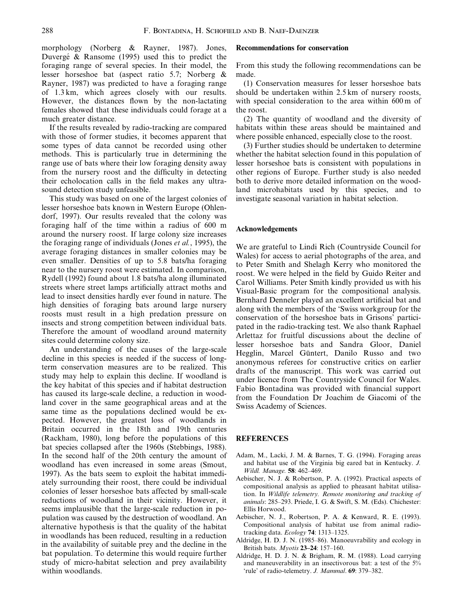morphology (Norberg & Rayner, 1987). Jones, Duvergé & Ransome (1995) used this to predict the foraging range of several species. In their model, the lesser horseshoe bat (aspect ratio 5.7; Norberg & Rayner, 1987) was predicted to have a foraging range of 1.3 km, which agrees closely with our results. However, the distances flown by the non-lactating females showed that these individuals could forage at a much greater distance.

If the results revealed by radio-tracking are compared with those of former studies, it becomes apparent that some types of data cannot be recorded using other methods. This is particularly true in determining the range use of bats where their low foraging density away from the nursery roost and the difficulty in detecting their echolocation calls in the field makes any ultrasound detection study unfeasible.

This study was based on one of the largest colonies of lesser horseshoe bats known in Western Europe (Ohlendorf, 1997). Our results revealed that the colony was foraging half of the time within a radius of 600 m around the nursery roost. If large colony size increases the foraging range of individuals (Jones et al., 1995), the average foraging distances in smaller colonies may be even smaller. Densities of up to 5.8 bats/ha foraging near to the nursery roost were estimated. In comparison, Rydell (1992) found about 1.8 bats/ha along illuminated streets where street lamps artificially attract moths and lead to insect densities hardly ever found in nature. The high densities of foraging bats around large nursery roosts must result in a high predation pressure on insects and strong competition between individual bats. Therefore the amount of woodland around maternity sites could determine colony size.

An understanding of the causes of the large-scale decline in this species is needed if the success of longterm conservation measures are to be realized. This study may help to explain this decline. If woodland is the key habitat of this species and if habitat destruction has caused its large-scale decline, a reduction in woodland cover in the same geographical areas and at the same time as the populations declined would be expected. However, the greatest loss of woodlands in Britain occurred in the 18th and 19th centuries (Rackham, 1980), long before the populations of this bat species collapsed after the 1960s (Stebbings, 1988). In the second half of the 20th century the amount of woodland has even increased in some areas (Smout, 1997). As the bats seem to exploit the habitat immediately surrounding their roost, there could be individual colonies of lesser horseshoe bats affected by small-scale reductions of woodland in their vicinity. However, it seems implausible that the large-scale reduction in population was caused by the destruction of woodland. An alternative hypothesis is that the quality of the habitat in woodlands has been reduced, resulting in a reduction in the availability of suitable prey and the decline in the bat population. To determine this would require further study of micro-habitat selection and prey availability within woodlands.

#### Recommendations for conservation

From this study the following recommendations can be made.

(1) Conservation measures for lesser horseshoe bats should be undertaken within 2.5 km of nursery roosts, with special consideration to the area within 600 m of the roost.

(2) The quantity of woodland and the diversity of habitats within these areas should be maintained and where possible enhanced, especially close to the roost.

(3) Further studies should be undertaken to determine whether the habitat selection found in this population of lesser horseshoe bats is consistent with populations in other regions of Europe. Further study is also needed both to derive more detailed information on the woodland microhabitats used by this species, and to investigate seasonal variation in habitat selection.

## Acknowledgements

We are grateful to Lindi Rich (Countryside Council for Wales) for access to aerial photographs of the area, and to Peter Smith and Shelagh Kerry who monitored the roost. We were helped in the field by Guido Reiter and Carol Williams. Peter Smith kindly provided us with his Visual-Basic program for the compositional analysis. Bernhard Denneler played an excellent artificial bat and along with the members of the `Swiss workgroup for the conservation of the horseshoe bats in Grisons' participated in the radio-tracking test. We also thank Raphael Arlettaz for fruitful discussions about the decline of lesser horseshoe bats and Sandra Gloor, Daniel Hegglin, Marcel Güntert, Danilo Russo and two anonymous referees for constructive critics on earlier drafts of the manuscript. This work was carried out under licence from The Countryside Council for Wales. Fabio Bontadina was provided with financial support from the Foundation Dr Joachim de Giacomi of the Swiss Academy of Sciences.

## REFERENCES

- Adam, M., Lacki, J. M. & Barnes, T. G. (1994). Foraging areas and habitat use of the Virginia big eared bat in Kentucky. J. Wildl. Manage. 58: 462-469.
- Aebischer, N. J. & Robertson, P. A. (1992). Practical aspects of compositional analysis as applied to pheasant habitat utilisation. In Wildlife telemetry. Remote monitoring and tracking of animals: 285-293. Priede, I. G. & Swift, S. M. (Eds). Chichester: Ellis Horwood.
- Aebischer, N. J., Robertson, P. A. & Kenward, R. E. (1993). Compositional analysis of habitat use from animal radiotracking data. Ecology 74: 1313-1325.
- Aldridge, H. D. J. N. (1985-86). Manoeuvrability and ecology in British bats. Myotis  $23-24: 157-160$ .
- Aldridge, H. D. J. N. & Brigham, R. M. (1988). Load carrying and maneuverability in an insectivorous bat: a test of the 5% 'rule' of radio-telemetry. J. Mammal. 69: 379-382.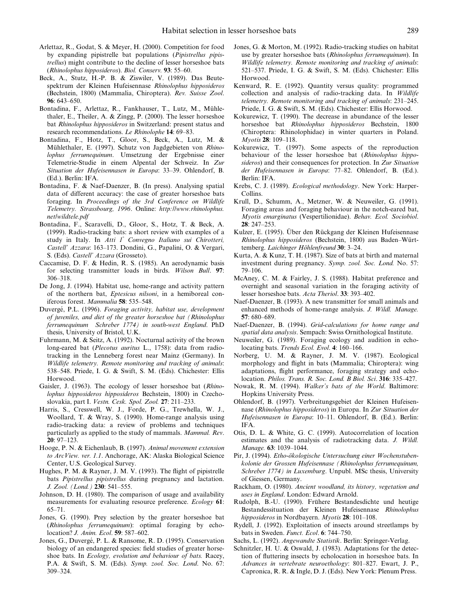- Arlettaz, R., Godat, S. & Meyer, H. (2000). Competition for food by expanding pipistrelle bat populations (Pipistrellus pipistrellus) might contribute to the decline of lesser horseshoe bats (Rhinolophus hipposideros). Biol. Conserv. 93: 55-60.
- Beck, A., Stutz, H.-P. B. & Ziswiler, V. (1989). Das Beutespektrum der Kleinen Hufeisennase Rhinolophus hipposideros (Bechstein, 1800) (Mammalia, Chiroptera). Rev. Suisse Zool. 96: 643-650.
- Bontadina, F., Arlettaz, R., Fankhauser, T., Lutz, M., Mühlethaler, E., Theiler, A. & Zingg, P. (2000). The lesser horseshoe bat Rhinolophus hipposideros in Switzerland: present status and research recommendations. Le Rhinolophe 14: 69-83.
- Bontadina, F., Hotz, T., Gloor, S., Beck, A., Lutz, M. & Mühlethaler, E. (1997). Schutz von Jagdgebieten von Rhinolophus ferrumequinum. Umsetzung der Ergebnisse einer Telemetrie-Studie in einem Alpental der Schweiz. In Zur Situation der Hufeisennasen in Europa: 33-39. Ohlendorf, B. (Ed.). Berlin: IFA.
- Bontadina, F. & Naef-Daenzer, B. (In press). Analysing spatial data of different accuracy: the case of greater horseshoe bats foraging. In Proceedings of the 3rd Conference on Wildlife Telemetry. Strassbourg, 1996. Online: http://www.rhinolophus. net/wildtele.pdf
- Bontadina, F., Scaravelli, D., Gloor, S., Hotz, T. & Beck, A. (1999). Radio-tracking bats: a short review with examples of a study in Italy. In Atti 1° Convegno Italiano sui Chirotteri, Castell' Azzara: 163-173. Dondini, G., Papalini, O. & Vergari, S. (Eds). Castell' Azzara (Grosseto).
- Caccamise, D. F. & Hedin, R. S. (1985). An aerodynamic basis for selecting transmitter loads in birds. Wilson Bull. 97: 306±318.
- De Jong, J. (1994). Habitat use, home-range and activity pattern of the northern bat, Eptesicus nilsoni, in a hemiboreal coniferous forest. Mammalia 58: 535-548.
- Duvergé, P.L. (1996). Foraging activity, habitat use, development of juveniles, and diet of the greater horseshoe bat (Rhinolophus ferrumequinum Schreber 1774) in south-west England. PhD thesis, University of Bristol, U.K.
- Fuhrmann, M. & Seitz, A. (1992). Nocturnal activity of the brown long-eared bat (Plecotus auritus L., 1758): data from radiotracking in the Lenneberg forest near Mainz (Germany). In Wildlife telemetry. Remote monitoring and tracking of animals: 538-548. Priede, I. G. & Swift, S. M. (Eds). Chichester: Ellis Horwood.
- Gaisler, J. (1963). The ecology of lesser horseshoe bat (Rhinolophus hipposideros hipposideros Bechstein, 1800) in Czechoslovakia, part I. Vestn. Cesk. Spol. Zool. 27: 211-233.
- Harris, S., Cresswell, W. J., Forde, P. G., Trewhella, W. J., Woollard, T. & Wray, S. (1990). Home-range analysis using radio-tracking data: a review of problems and techniques particularly as applied to the study of mammals. Mammal. Rev.  $20: 97-123.$
- Hooge, P. N. & Eichenlaub, B. (1997). Animal movement extension to ArcView. ver. 1.1. Anchorage, AK: Alaska Biological Science Center, U.S. Geological Survey.
- Hughes, P. M. & Rayner, J. M. V. (1993). The flight of pipistrelle bats Pipistrellus pipistrellus during pregnancy and lactation. J. Zool. (Lond.) 230: 541-555.
- Johnson, D. H. (1980). The comparison of usage and availability measurements for evaluating resource preference. Ecology 61:  $65 - 71.$
- Jones, G. (1990). Prey selection by the greater horseshoe bat (Rhinolophus ferrumequinum): optimal foraging by echolocation? J. Anim. Ecol. 59: 587-602.
- Jones, G., Duvergé, P. L. & Ransome, R. D. (1995). Conservation biology of an endangered species: field studies of greater horseshoe bats. In Ecology, evolution and behaviour of bats. Racey, P.A. & Swift, S. M. (Eds). Symp. zool. Soc. Lond. No. 67: 309±324.
- Jones, G. & Morton, M. (1992). Radio-tracking studies on habitat use by greater horseshoe bats (Rhinolophus ferrumequinum). In Wildlife telemetry. Remote monitoring and tracking of animals: 521-537. Priede, I. G. & Swift, S. M. (Eds). Chichester: Ellis Horwood.
- Kenward, R. E. (1992). Quantity versus quality: programmed collection and analysis of radio-tracking data. In Wildlife telemetry. Remote monitoring and tracking of animals: 231-245. Priede, I. G. & Swift, S. M. (Eds). Chichester: Ellis Horwood.
- Kokurewicz, T. (1990). The decrease in abundance of the lesser horseshoe bat Rhinolophus hipposideros Bechstein, 1800 (Chiroptera: Rhinolophidae) in winter quarters in Poland. Myotis 28: 109-118.
- Kokurewicz, T. (1997). Some aspects of the reproduction behaviour of the lesser horseshoe bat (Rhinolophus hipposideros) and their consequences for protection. In Zur Situation der Hufeisennasen in Europa: 77-82. Ohlendorf, B. (Ed.). Berlin: IFA.
- Krebs, C. J. (1989). Ecological methodology. New York: Harper-Collins.
- Krull, D., Schumm, A., Metzner, W. & Neuweiler, G. (1991). Foraging areas and foraging behaviour in the notch-eared bat, Myotis emarginatus (Vespertilionidae). Behav. Ecol. Sociobiol.  $28: 247 - 253.$
- Kulzer, E. (1995). Uber den Rückgang der Kleinen Hufeisennase Rhinolophus hipposideros (Bechstein, 1800) aus Baden-Württemberg. Laichinger Höhlenfreund 30: 3-24.
- Kurta, A. & Kunz, T. H. (1987). Size of bats at birth and maternal investment during pregnancy. Symp. zool. Soc. Lond. No. 57: 79±106.
- McAney, C. M. & Fairley, J. S. (1988). Habitat preference and overnight and seasonal variation in the foraging activity of lesser horseshoe bats. Acta Theriol. 33: 393-402.
- Naef-Daenzer, B. (1993). A new transmitter for small animals and enhanced methods of home-range analysis. J. Wildl. Manage. 57: 680-689.
- Naef-Daenzer, B. (1994). Grid-calculations for home range and spatial data analysis. Sempach: Swiss Ornithological Institute.
- Neuweiler, G. (1989). Foraging ecology and audition in echolocating bats. Trends Ecol. Evol. 4: 160-166.
- Norberg, U. M. & Rayner, J. M. V. (1987). Ecological morphology and flight in bats (Mammalia; Chiroptera): wing adaptations, flight performance, foraging strategy and echolocation. Philos. Trans. R. Soc. Lond. B Biol. Sci. 316: 335-427.
- Nowak, R. M. (1994). Walker's bats of the World. Baltimore: Hopkins University Press.
- Ohlendorf, B. (1997). Verbreitungsgebiet der Kleinen Hufeisennase (Rhinolophus hipposideros) in Europa. In Zur Situation der Hufeisennasen in Europa: 10-11. Ohlendorf, B. (Ed.). Berlin: IFA.
- Otis, D. L. & White, G. C. (1999). Autocorrelation of location estimates and the analysis of radiotracking data. J. Wildl. Manage. **63**: 1039-1044.
- Pir, J. (1994). Etho-ökologische Untersuchung einer Wochenstubenkolonie der Grossen Hufeisennase (Rhinolophus ferrumequinum, Schreber 1774) in Luxemburg. Unpubl. MSc thesis, University of Giessen, Germany.
- Rackham, O. (1980). Ancient woodland, its history, vegetation and uses in England. London: Edward Arnold.
- Rudolph, B.-U. (1990). Frühere Bestandesdichte und heutige Bestandessituation der Kleinen Hufeisennase Rhinolophus hipposideros in Nordbayern. Myotis 28: 101-108.
- Rydell, J. (1992). Exploitation of insects around streetlamps by bats in Sweden. Funct. Ecol. 6: 744-750.
- Sachs, L. (1992). Angewandte Statistik. Berlin: Springer-Verlag.
- Schnitzler, H. U. & Oswald, J. (1983). Adaptations for the detection of fluttering insects by echolocation in horseshoe bats. In Advances in vertebrate neuroethology: 801–827. Ewart, J. P., Capronica, R. R. & Ingle, D. J. (Eds). New York: Plenum Press.